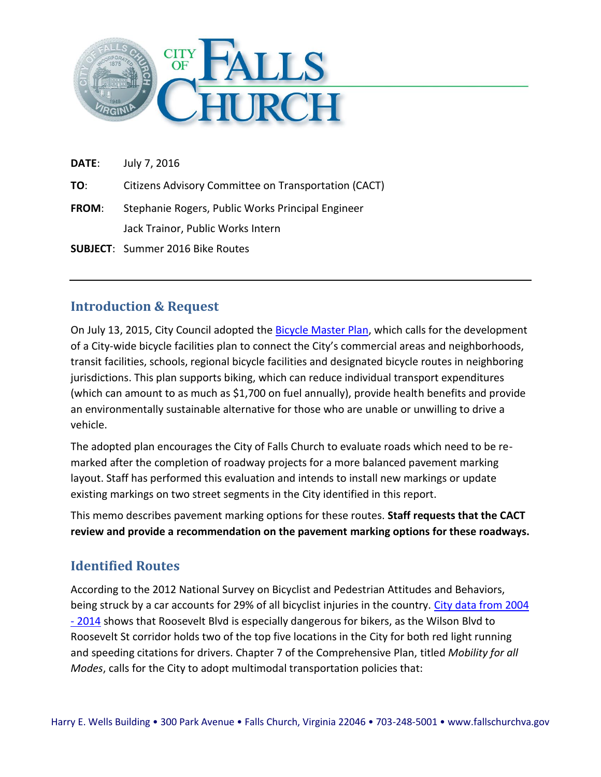

| DATE:        | July 7, 2016                                         |
|--------------|------------------------------------------------------|
| TO:          | Citizens Advisory Committee on Transportation (CACT) |
| <b>FROM:</b> | Stephanie Rogers, Public Works Principal Engineer    |
|              | Jack Trainor, Public Works Intern                    |
|              | <b>SUBJECT:</b> Summer 2016 Bike Routes              |

## **Introduction & Request**

On July 13, 2015, City Council adopted the [Bicycle Master Plan,](http://www.fallschurchva.gov/DocumentCenter/View/3572) which calls for the development of a City-wide bicycle facilities plan to connect the City's commercial areas and neighborhoods, transit facilities, schools, regional bicycle facilities and designated bicycle routes in neighboring jurisdictions. This plan supports biking, which can reduce individual transport expenditures (which can amount to as much as \$1,700 on fuel annually), provide health benefits and provide an environmentally sustainable alternative for those who are unable or unwilling to drive a vehicle.

The adopted plan encourages the City of Falls Church to evaluate roads which need to be remarked after the completion of roadway projects for a more balanced pavement marking layout. Staff has performed this evaluation and intends to install new markings or update existing markings on two street segments in the City identified in this report.

This memo describes pavement marking options for these routes. **Staff requests that the CACT review and provide a recommendation on the pavement marking options for these roadways.**

## **Identified Routes**

According to the 2012 National Survey on Bicyclist and Pedestrian Attitudes and Behaviors, being struck by a car accounts for 29% of all bicyclist injuries in the country. [City data from 2004](http://fallschurch.maps.arcgis.com/apps/MapJournal/index.html?appid=fef83d93077d4cc4a756bf0c0b9f041b&webmap=82f187ca1845490a928a2724f6d15b86)  - [2014](http://fallschurch.maps.arcgis.com/apps/MapJournal/index.html?appid=fef83d93077d4cc4a756bf0c0b9f041b&webmap=82f187ca1845490a928a2724f6d15b86) shows that Roosevelt Blvd is especially dangerous for bikers, as the Wilson Blvd to Roosevelt St corridor holds two of the top five locations in the City for both red light running and speeding citations for drivers. Chapter 7 of the Comprehensive Plan, titled *Mobility for all Modes*, calls for the City to adopt multimodal transportation policies that: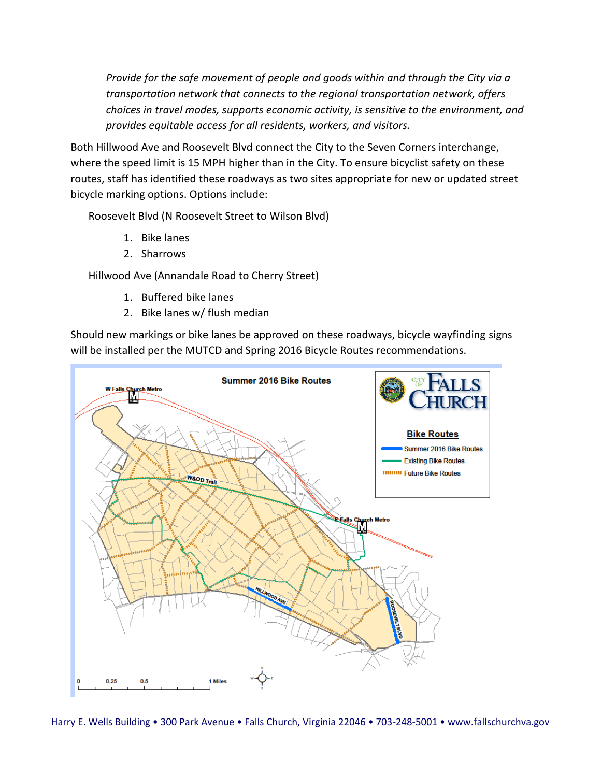*Provide for the safe movement of people and goods within and through the City via a transportation network that connects to the regional transportation network, offers choices in travel modes, supports economic activity, is sensitive to the environment, and provides equitable access for all residents, workers, and visitors.* 

Both Hillwood Ave and Roosevelt Blvd connect the City to the Seven Corners interchange, where the speed limit is 15 MPH higher than in the City. To ensure bicyclist safety on these routes, staff has identified these roadways as two sites appropriate for new or updated street bicycle marking options. Options include:

Roosevelt Blvd (N Roosevelt Street to Wilson Blvd)

- 1. Bike lanes
- 2. Sharrows

Hillwood Ave (Annandale Road to Cherry Street)

- 1. Buffered bike lanes
- 2. Bike lanes w/ flush median

Should new markings or bike lanes be approved on these roadways, bicycle wayfinding signs will be installed per the MUTCD and Spring 2016 Bicycle Routes recommendations.



Harry E. Wells Building • 300 Park Avenue • Falls Church, Virginia 22046 • 703-248-5001 • www.fallschurchva.gov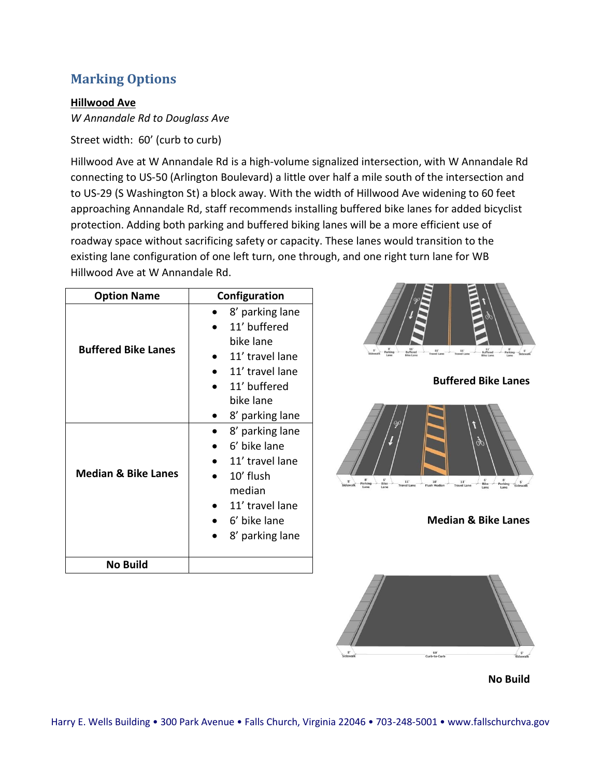## **Marking Options**

**Hillwood Ave**

*W Annandale Rd to Douglass Ave*

Street width: 60' (curb to curb)

Hillwood Ave at W Annandale Rd is a high-volume signalized intersection, with W Annandale Rd connecting to US-50 (Arlington Boulevard) a little over half a mile south of the intersection and to US-29 (S Washington St) a block away. With the width of Hillwood Ave widening to 60 feet approaching Annandale Rd, staff recommends installing buffered bike lanes for added bicyclist protection. Adding both parking and buffered biking lanes will be a more efficient use of roadway space without sacrificing safety or capacity. These lanes would transition to the existing lane configuration of one left turn, one through, and one right turn lane for WB Hillwood Ave at W Annandale Rd.

| <b>Option Name</b>             | Configuration                                                                                                                                                   |
|--------------------------------|-----------------------------------------------------------------------------------------------------------------------------------------------------------------|
| <b>Buffered Bike Lanes</b>     | 8' parking lane<br>11' buffered<br>bike lane<br>11' travel lane<br>11' travel lane<br>11' buffered                                                              |
| <b>Median &amp; Bike Lanes</b> | bike lane<br>8' parking lane<br>8' parking lane<br>6' bike lane<br>11' travel lane<br>10' flush<br>median<br>11' travel lane<br>6' bike lane<br>8' parking lane |
| No Build                       |                                                                                                                                                                 |







**Median & Bike Lanes**



**No Build**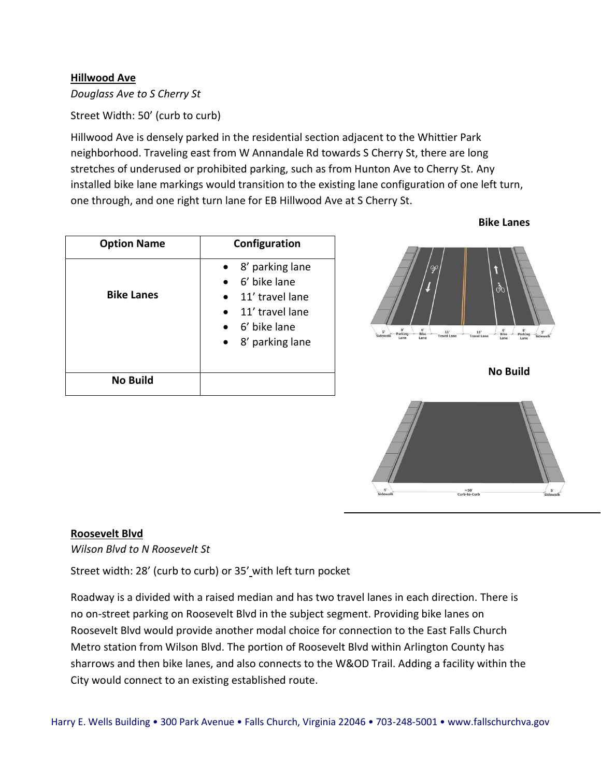#### **Hillwood Ave**

*Douglass Ave to S Cherry St*

Street Width: 50' (curb to curb)

Hillwood Ave is densely parked in the residential section adjacent to the Whittier Park neighborhood. Traveling east from W Annandale Rd towards S Cherry St, there are long stretches of underused or prohibited parking, such as from Hunton Ave to Cherry St. Any installed bike lane markings would transition to the existing lane configuration of one left turn, one through, and one right turn lane for EB Hillwood Ave at S Cherry St.

| <b>Option Name</b> | Configuration                                                                                                                             |
|--------------------|-------------------------------------------------------------------------------------------------------------------------------------------|
| <b>Bike Lanes</b>  | 8' parking lane<br>6' bike lane<br>11' travel lane<br>$\bullet$ 11' travel lane<br>$\bullet$ 6' bike lane<br>8' parking lane<br>$\bullet$ |
| <b>No Build</b>    |                                                                                                                                           |



**No Build**

**Bike Lanes**



#### **Roosevelt Blvd**

*Wilson Blvd to N Roosevelt St*

Street width: 28' (curb to curb) or 35' with left turn pocket

Roadway is a divided with a raised median and has two travel lanes in each direction. There is no on-street parking on Roosevelt Blvd in the subject segment. Providing bike lanes on Roosevelt Blvd would provide another modal choice for connection to the East Falls Church Metro station from Wilson Blvd. The portion of Roosevelt Blvd within Arlington County has sharrows and then bike lanes, and also connects to the W&OD Trail. Adding a facility within the City would connect to an existing established route.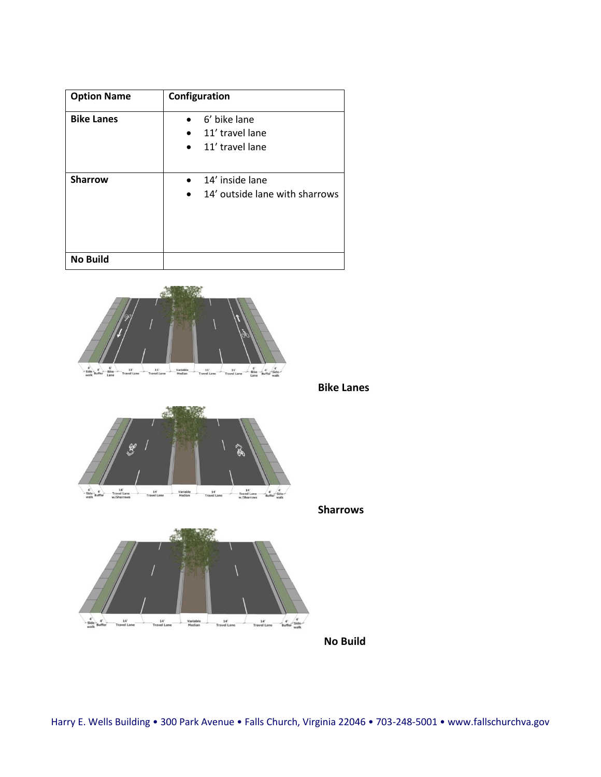| <b>Option Name</b> | Configuration                                                   |
|--------------------|-----------------------------------------------------------------|
| <b>Bike Lanes</b>  | 6' bike lane<br>11' travel lane<br>11' travel lane<br>$\bullet$ |
| <b>Sharrow</b>     | 14' inside lane<br>14' outside lane with sharrows               |
| <b>No Build</b>    |                                                                 |



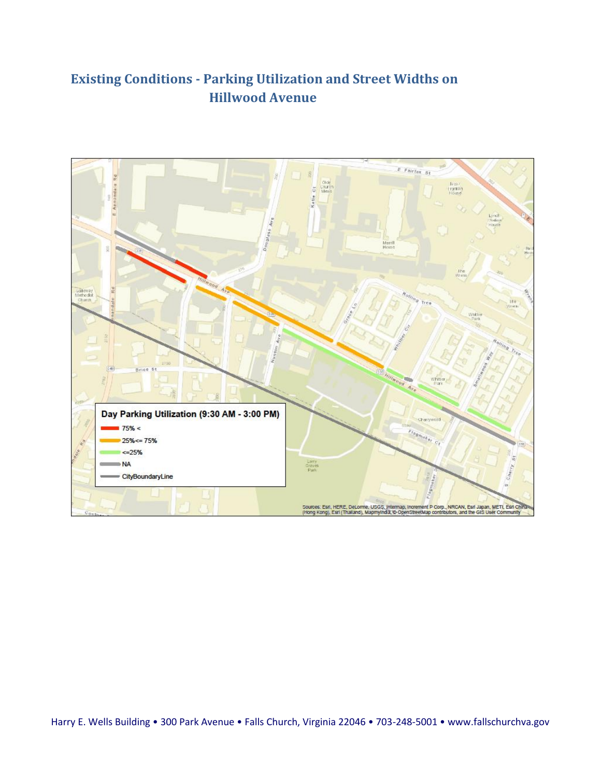# **Existing Conditions - Parking Utilization and Street Widths on Hillwood Avenue**